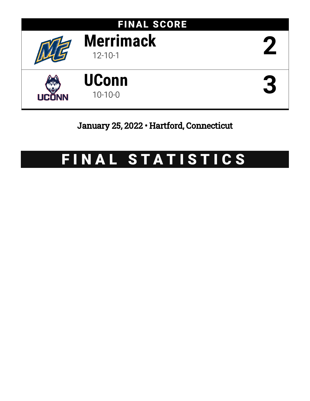

# January 25, 2022 • Hartford, Connecticut

# FINAL STATISTICS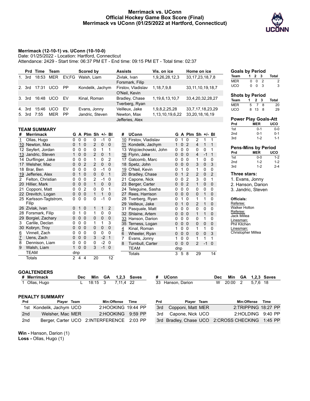## **Merrimack vs. UConn Official Hockey Game Box Score (Final) Merrimack vs UConn (01/25/2022 at Hartford, Connecticut)**



## **Merrimack (12-10-1) vs. UConn (10-10-0)**

Date: 01/25/2022 - Location: Hartford, Connecticut

Attendance: 2429 - Start time: 06:37 PM ET - End time: 09:15 PM ET - Total time: 02:37

|        | Prd Time | Team       |       | Scored by        | <b>Assists</b>     | Vis. on ice     | Home on ice           |
|--------|----------|------------|-------|------------------|--------------------|-----------------|-----------------------|
| 1. 3rd | 18:53    | <b>MER</b> | EV.FG | Walsh, Liam      | Zivlak, Ivan       | 1,9,26,28,12,3  | 33, 17, 23, 18, 7, 8  |
|        |          |            |       |                  | Forsmark, Filip    |                 |                       |
| 2. 3rd | 17:31    | <b>UCO</b> | PP    | Kondelik, Jachym | Firstov, Vladislav | 1,18,7,9,8      | 33, 11, 10, 19, 18, 7 |
|        |          |            |       |                  | O'Neil, Kevin      |                 |                       |
| 3. 3rd | 16:48    | <b>UCO</b> | FV    | Kinal, Roman     | Bradley, Chase     | 1,19,6,13,10,7  | 33,4,20,32,28,27      |
|        |          |            |       |                  | Tverberg, Ryan     |                 |                       |
| 4. 3rd | 15:46    | <b>UCO</b> | EV    | Evans, Jonny     | Veilleux, Jake     | 1,9,8,2,25,28   | 33, 7, 17, 18, 23, 29 |
| 5. 3rd | 7:55     | MER        | PP    | Jandric, Steven  | Newton, Max        | 1,13,10,19,6,22 | 33,20,18,16,19        |
|        |          |            |       |                  | Jefferies, Alex    |                 |                       |

#### **TEAM SUMMARY**

| #                     | <b>Merrimack</b>       | G            |   | A Plm Sh +/- Bl |                |             |                | # |     | <b>UConn</b>        | G        |          | A Plm Sh +/- Bl |                |             |             |
|-----------------------|------------------------|--------------|---|-----------------|----------------|-------------|----------------|---|-----|---------------------|----------|----------|-----------------|----------------|-------------|-------------|
| 1                     | Ollas, Hugo            | 0            | 0 | $\Omega$        | 0              | $-1$        | 0              |   | 10  | Firstov, Vladislav  | 0        | 1        | 0               | 2              | 1           | 1           |
| 10                    | Newton, Max            | $\Omega$     |   | $\Omega$        | 2              | $\mathbf 0$ | $\mathbf 0$    |   | 11  | Kondelik, Jachym    | 1        | $\Omega$ | 2               | 4              | 1           | 1           |
| 12                    | Seyfert, Jordan        | 0            | 0 | 0               | 0              | 1           | 1              |   | 13. | Wojciechowski, John | 0        | 0        | 0               | 0              | 0           | 1           |
| 13                    | Jandric, Steven        | 1            | 0 | $\mathbf 0$     | $\overline{2}$ | $\mathbf 0$ | 1              |   |     | 16 Flynn, Jake      | 0        | $\Omega$ | $\mathbf 0$     | 4              | $-1$        | 1           |
| 14                    | Durflinger, Jake       | 0            | 0 | 0               | 1              | $\Omega$    | $\overline{2}$ |   | 17  | Gatcomb, Marc       | 0        | 0        | 0               | 1              | 0           | 0           |
| 17                    | Welsher, Mac           | 0            | 0 | $\overline{2}$  | $\overline{2}$ | $\mathbf 0$ | $\mathbf 0$    |   |     | 18 Spetz, John      | 0        | 0        | $\Omega$        | 3              | 0           | 3           |
| 18                    | Brar, Ben              | 0            | 0 | 0               | 0              | $-1$        | 0              |   | 19  | O'Neil, Kevin       | 0        |          | 0               | 1              | 0           | 0           |
| 19                    | Jefferies, Alex        | 0            |   | $\mathbf 0$     | 0              | $\mathbf 0$ | 1              |   | 20  | Bradley, Chase      | 0        |          | $\overline{2}$  | $\overline{2}$ | $\mathbf 0$ | 2           |
| $\mathbf{2}^{\prime}$ | Felton, Christian      | 0            | 0 | 0               | $\overline{2}$ | $-1$        | 0              |   | 21  | Capone, Nick        | 0        | ი        | $\overline{2}$  | 3              | 0           | 1           |
| 20                    | Hillier, Mark          | 0            | 0 | $\Omega$        | $\mathbf{1}$   | $\mathbf 0$ | $\mathbf 0$    |   |     | 23 Berger, Carter   | 0        | 0        | $\overline{2}$  | 1              | 0           | 0           |
| 21                    | Copponi, Matt          | 0            | 0 | 2               | 0              | 0           | 1              |   |     | 24 Teleguine, Sasha | 0        | 0        | 0               | 0              | 0           | 0           |
|                       | 22 Drevitch, Logan     | 0            | 0 | $\Omega$        | 1              | 1           | $\mathbf 0$    |   |     | 27 Rees, Harrison   | 0        | $\Omega$ | $\Omega$        | 0              | 1           | 0           |
|                       | 25 Karlsson-Tagtstrom, | 0            | 0 | 0               | 0              | $-1$        | $\Omega$       |   | 28  | Tverberg, Ryan      | 0        |          | 0               | 1              | 1           | 0           |
|                       | Filip                  |              |   |                 |                |             |                |   |     | 29 Veilleux, Jake   | $\Omega$ | 1        | 0               | $\overline{2}$ | 1           | 0           |
| 26                    | Zivlak, Ivan           | $\Omega$     | 1 | $\mathbf 0$     | 1              | 1           | $\overline{2}$ |   | 31  | Pasquale, Matt      | 0        | 0        | 0               | 0              | 0           | 0           |
| 28                    | Forsmark, Filip        | 0            | 1 | 0               | 1              | 0           | 0              |   | 32  | Shlaine, Artem      | 0        | 0        | $\Omega$        | 1              | 1           | 0           |
| 29                    | Borgiel, Zachary       | 0            | 0 | $\mathbf 0$     | 0              | $\mathbf 0$ | 0              |   |     | 33 Hanson, Darion   | 0        | 0        | 0               | 0              | 1           | 0           |
| 3                     | Carlile, Declan        | 0            | 0 | 0               | 1              | 1           | 3              |   | 35  | Terness, Logan      | 0        | 0        | $\mathbf 0$     | 0              | 0           | 0           |
| 30                    | Kobryn, Troy           | $\mathbf 0$  | 0 | $\mathbf 0$     | 0              | 0           | 0              | 4 |     | Kinal, Roman        |          | 0        | $\mathbf{0}$    | 1              | 1           | 0           |
| 6                     | Vinnell, Zach          | 0            | 0 | $\Omega$        | 0              | 0           | 0              | 6 |     | Wheeler, Ryan       | 0        | 0        | $\mathbf 0$     | 0              | 0           | 3           |
| 7                     | Uens, Zach             | 0            | 0 | $\Omega$        | 3              | $-2$        | $\mathbf 1$    | 7 |     | Evans, Jonny        |          | 0        | 0               | 1              | 1           | 1           |
| 8                     | Dennison, Liam         | 0            | 0 | 0               | 0              | $-2$        | 0              | 8 |     | Turnbull, Carter    | 0        | $\Omega$ | $\mathbf 0$     | 2              | $-1$        | $\mathbf 0$ |
| 9                     | Walsh, Liam            | 1            | 0 | $\mathbf 0$     | 3              | $-1$        | $\mathbf 0$    |   |     | TEAM                | dnp      |          |                 |                |             |             |
|                       | TEAM                   | dnp          |   |                 |                |             |                |   |     | Totals              | 3        | 5        | 8               | 29             |             | 14          |
|                       | Totals                 | $\mathbf{2}$ | 4 | 4               | 20             |             | 12             |   |     |                     |          |          |                 |                |             |             |

#### **Goals by Period Team 1 2 3 Total** MER 0 0 2 2 UCO 0 0 3 3

#### **Shots by Period**

| 1. |    | Total                           |
|----|----|---------------------------------|
|    | -8 | 20                              |
|    |    | 29                              |
|    | 5. | 2 3<br>$\overline{7}$<br>8 13 8 |

|                                                            | <b>Power Play Goals-Att</b>                                |         |
|------------------------------------------------------------|------------------------------------------------------------|---------|
| Prd                                                        | MER                                                        | uco     |
| 1st                                                        | $0 - 1$                                                    | $0-0$   |
| 2 <sub>nd</sub>                                            | $0 - 1$                                                    | $0 - 1$ |
| 3rd                                                        | $1 - 2$                                                    | $1 - 1$ |
|                                                            | <b>Pens-Mins by Period</b>                                 |         |
| Prd                                                        | <b>MER</b>                                                 | UCO.    |
| 1st                                                        | $0 - 0$                                                    | $1 - 2$ |
| 2 <sub>nd</sub>                                            | $1 - 2$                                                    | $1 - 2$ |
| 3rd                                                        | $1-2$                                                      | $2 - 4$ |
| Three stars:                                               | 1. Evans, Jonny<br>2. Hanson, Darion<br>3. Jandric, Steven |         |
| Officials:<br>Referee:<br><b>Walker Holton</b><br>Referee: |                                                            |         |

Jack Millea Linesman: Phil Kitchen Linesman: Christopher Millea

#### **GOALTENDERS**

|                                                                                            | Min                                                         | GA   |       | <b>Saves</b>         |           |                                                                                      |                                                 |                                                      | Min        | GA    |          | <b>1.2.3 Saves</b>                                                                                 |
|--------------------------------------------------------------------------------------------|-------------------------------------------------------------|------|-------|----------------------|-----------|--------------------------------------------------------------------------------------|-------------------------------------------------|------------------------------------------------------|------------|-------|----------|----------------------------------------------------------------------------------------------------|
|                                                                                            |                                                             | 3    |       |                      |           |                                                                                      |                                                 | W                                                    |            | 2     | 5.7.6 18 |                                                                                                    |
|                                                                                            |                                                             |      |       |                      |           |                                                                                      |                                                 |                                                      |            |       |          |                                                                                                    |
|                                                                                            |                                                             |      |       |                      |           |                                                                                      |                                                 |                                                      |            |       |          |                                                                                                    |
|                                                                                            |                                                             |      |       | Time                 | Prd       |                                                                                      |                                                 |                                                      |            |       |          | <b>Time</b>                                                                                        |
|                                                                                            |                                                             |      |       |                      |           |                                                                                      |                                                 |                                                      |            |       |          |                                                                                                    |
|                                                                                            |                                                             |      |       |                      |           |                                                                                      |                                                 |                                                      |            |       |          | $9:40$ PP                                                                                          |
|                                                                                            |                                                             |      |       |                      |           |                                                                                      |                                                 |                                                      |            |       |          |                                                                                                    |
| <b>Merrimack</b><br>Ollas, Hugo<br><b>PENALTY SUMMARY</b><br>Prd<br>2 <sub>nd</sub><br>2nd | Player Team<br>1st Kondelik, Jachym UCO<br>Welsher, Mac MER | Dec. | 18:15 | 1.2.3<br>Min:Offense | 7.11.4 22 | 2:HOOKING 19:44 PP<br>2:HOOKING 9:59 PP<br>Berger, Carter UCO 2:INTERFERENCE 2:03 PP | <b>UConn</b><br>33 Hanson, Darion<br>3rd<br>3rd | Player Team<br>Copponi, Matt MER<br>Capone, Nick UCO | <b>Dec</b> | 20:00 |          | Min:Offense<br>2:TRIPPING 18:27 PP<br>2:HOLDING<br>3rd Bradley, Chase UCO 2:CROSS CHECKING 1:45 PP |

**Win -** Hanson, Darion (1) **Loss -** Ollas, Hugo (1)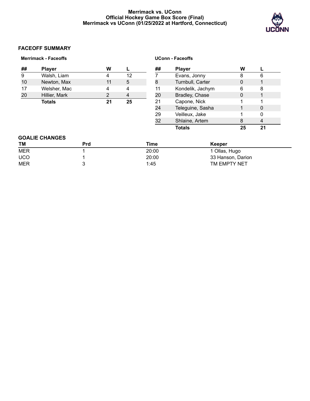# **Merrimack vs. UConn Official Hockey Game Box Score (Final) Merrimack vs UConn (01/25/2022 at Hartford, Connecticut)**



# **FACEOFF SUMMARY**

|            | <b>Merrimack - Faceoffs</b> |            |                |                | <b>UConn - Faceoffs</b> |                  |                   |              |  |  |  |
|------------|-----------------------------|------------|----------------|----------------|-------------------------|------------------|-------------------|--------------|--|--|--|
| ##         | <b>Player</b>               |            | W              |                | ##                      | <b>Player</b>    | W                 |              |  |  |  |
| 9          | Walsh, Liam                 |            | 4              | 12             |                         | Evans, Jonny     | 8                 | 6            |  |  |  |
| 10         | Newton, Max                 |            | 11             | 5              | 8                       | Turnbull, Carter | $\mathbf 0$       | $\mathbf{1}$ |  |  |  |
| 17         | Welsher, Mac                |            | 4              | 4              | 11                      | Kondelik, Jachym | 6                 | 8            |  |  |  |
| 20         | Hillier, Mark               |            | $\overline{2}$ | $\overline{4}$ | 20                      | Bradley, Chase   | 0                 | 1            |  |  |  |
|            | <b>Totals</b>               |            | 21             | 25             | 21                      | Capone, Nick     |                   |              |  |  |  |
|            |                             |            |                |                | 24                      | Teleguine, Sasha |                   | 0            |  |  |  |
|            |                             |            |                |                | 29                      | Veilleux, Jake   |                   | 0            |  |  |  |
|            |                             |            |                |                | 32                      | Shlaine, Artem   | 8                 | 4            |  |  |  |
|            |                             |            |                |                |                         | <b>Totals</b>    | 25                | 21           |  |  |  |
|            | <b>GOALIE CHANGES</b>       |            |                |                |                         |                  |                   |              |  |  |  |
| TM         |                             | <b>Prd</b> |                |                | <b>Time</b>             | Keeper           |                   |              |  |  |  |
| <b>MER</b> |                             |            |                |                | 20:00                   | 1 Ollas, Hugo    |                   |              |  |  |  |
| <b>UCO</b> |                             |            |                |                | 20:00                   |                  | 33 Hanson, Darion |              |  |  |  |
| <b>MER</b> |                             | 3          |                |                | 1:45                    |                  | TM EMPTY NET      |              |  |  |  |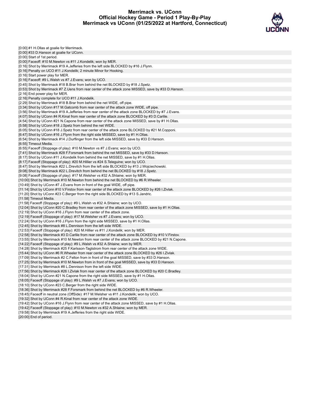# **Merrimack vs. UConn Official Hockey Game - Period 1 Play-By-Play Merrimack vs UConn (01/25/2022 at Hartford, Connecticut)**



| [0:00] #1 H.Ollas at goalie for Merrimack.                                                                                                               |
|----------------------------------------------------------------------------------------------------------------------------------------------------------|
| [0:00] #33 D. Hanson at goalie for UConn.                                                                                                                |
| [0:00] Start of 1st period.                                                                                                                              |
| [0:00] Faceoff: #10 M. Newton vs #11 J. Kondelik; won by MER.                                                                                            |
| [0:16] Shot by Merrimack #19 A.Jefferies from the left side BLOCKED by #16 J.Flynn.                                                                      |
| [0:16] Penalty on UCO #11 J.Kondelik; 2 minute Minor for Hooking.                                                                                        |
| [0:16] Start power play for MER.                                                                                                                         |
| [0:16] Faceoff: #9 L.Walsh vs #7 J.Evans; won by UCO.                                                                                                    |
| [0:45] Shot by Merrimack #18 B.Brar from behind the net BLOCKED by #18 J.Spetz.                                                                          |
| [0:53] Shot by Merrimack #7 Z.Uens from rear center of the attack zone MISSED, save by #33 D.Hanson.                                                     |
| [2:16] End power play for MER.                                                                                                                           |
| [2:16] Penalty complete for UCO #11 J.Kondelik.                                                                                                          |
| [2:29] Shot by Merrimack #18 B.Brar from behind the net WIDE, off pipe.                                                                                  |
| [3:34] Shot by UConn #17 M. Gatcomb from rear center of the attack zone WIDE, off pipe.                                                                  |
| [3:56] Shot by Merrimack #19 A. Jefferies from rear center of the attack zone BLOCKED by #7 J. Evans.                                                    |
| [4:07] Shot by UConn #4 R.Kinal from rear center of the attack zone BLOCKED by #3 D.Carlile.                                                             |
| [4:54] Shot by UConn #21 N.Capone from rear center of the attack zone MISSED, save by #1 H.Ollas.                                                        |
| [5:58] Shot by UConn #18 J. Spetz from behind the net WIDE.                                                                                              |
| [6:05] Shot by UConn #18 J.Spetz from rear center of the attack zone BLOCKED by #21 M.Copponi.                                                           |
| [6:47] Shot by UConn #16 J. Flynn from the right side MISSED, save by #1 H. Ollas.                                                                       |
| [6:54] Shot by Merrimack #14 J.Durflinger from the left side MISSED, save by #33 D.Hanson.                                                               |
| [6:55] Timeout Media.                                                                                                                                    |
| [6:55] Faceoff (Stoppage of play): #10 M. Newton vs #7 J. Evans; won by UCO.                                                                             |
| [7:41] Shot by Merrimack #28 F. Forsmark from behind the net MISSED, save by #33 D. Hanson.                                                              |
| [8:17] Shot by UConn #11 J.Kondelik from behind the net MISSED, save by #1 H.Ollas.                                                                      |
| [8:17] Faceoff (Stoppage of play): #20 M. Hillier vs #24 S. Teleguine; won by UCO.                                                                       |
| [8:47] Shot by Merrimack #22 L.Drevitch from the left side BLOCKED by #13 J.Wojciechowski.                                                               |
| [9:08] Shot by Merrimack #22 L.Drevitch from behind the net BLOCKED by #18 J.Spetz.                                                                      |
| [9:08] Faceoff (Stoppage of play): #17 M.Welsher vs #32 A.Shlaine; won by MER.                                                                           |
| [10:00] Shot by Merrimack #10 M.Newton from behind the net BLOCKED by #6 R.Wheeler.                                                                      |
| [10:49] Shot by UConn #7 J.Evans from in front of the goal WIDE, off pipe.                                                                               |
| [11:14] Shot by UConn #10 V.Firstov from rear center of the attack zone BLOCKED by #26 I.Zivlak.                                                         |
| [11:20] Shot by UConn #23 C.Berger from the right side BLOCKED by #13 S.Jandric.                                                                         |
| [11:58] Timeout Media.                                                                                                                                   |
| [11:58] Faceoff (Stoppage of play): #9 L.Walsh vs #32 A.Shlaine; won by UCO.                                                                             |
| [12:04] Shot by UConn #20 C.Bradley from rear center of the attack zone MISSED, save by #1 H.Ollas.                                                      |
| [12:19] Shot by UConn #16 J. Flynn from rear center of the attack zone.                                                                                  |
| [12:19] Faceoff (Stoppage of play): #17 M. Welsher vs #7 J. Evans; won by UCO.                                                                           |
| [12:24] Shot by UConn #16 J.Flynn from the right side MISSED, save by #1 H.Ollas.                                                                        |
| [12:45] Shot by Merrimack #8 L.Dennison from the left side WIDE.                                                                                         |
| [12:53] Faceoff (Stoppage of play): #20 M.Hillier vs #11 J.Kondelik; won by MER.                                                                         |
| [12:58] Shot by Merrimack #3 D.Carlile from rear center of the attack zone BLOCKED by #10 V.Firstov.                                                     |
| [13:55] Shot by Merrimack #10 M. Newton from rear center of the attack zone BLOCKED by #21 N. Capone.                                                    |
| [14:22] Faceoff (Stoppage of play): #9 L.Walsh vs #32 A.Shlaine; won by MER.                                                                             |
| [14:28] Shot by Merrimack #25 F.Karlsson-Tagtstrom from rear center of the attack zone WIDE.                                                             |
| [15:44] Shot by UConn #6 R.Wheeler from rear center of the attack zone BLOCKED by #26 I.Zivlak.                                                          |
| [17:09] Shot by Merrimack #2 C.Felton from in front of the goal MISSED, save by #33 D.Hanson.                                                            |
| [17:25] Shot by Merrimack #10 M.Newton from in front of the goal MISSED, save by #33 D.Hanson.                                                           |
| [17:31] Shot by Merrimack #8 L.Dennison from the left side WIDE.                                                                                         |
| [17:56] Shot by Merrimack #26 I.Zivlak from rear center of the attack zone BLOCKED by #20 C.Bradley.                                                     |
| [18:04] Shot by UConn #21 N.Capone from the right side MISSED, save by #1 H.Ollas.                                                                       |
| [18:05] Faceoff (Stoppage of play): #9 L. Walsh vs #7 J. Evans; won by UCO.                                                                              |
| [18:10] Shot by UConn #23 C.Berger from the right side WIDE.                                                                                             |
| [18:36] Shot by Merrimack #28 F.Forsmark from behind the net BLOCKED by #6 R.Wheeler.                                                                    |
| [18:45] Faceoff in neutral zone (OffSide): #17 M. Welsher vs #11 J. Kondelik; won by UCO.                                                                |
| [19:32] Shot by UConn #4 R.Kinal from rear center of the attack zone WIDE.                                                                               |
| [19:42] Shot by UConn #16 J.Flynn from rear center of the attack zone MISSED, save by #1 H.Ollas.                                                        |
| [19:42] Faceoff (Stoppage of play): #10 M. Newton vs #32 A. Shlaine; won by MER.<br>[19:58] Shot by Merrimack #19 A. Jefferies from the right side WIDE. |
| [20:00] End of period.                                                                                                                                   |
|                                                                                                                                                          |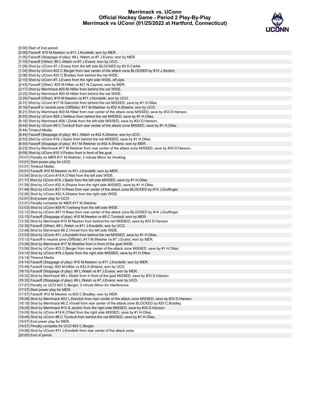# **Merrimack vs. UConn Official Hockey Game - Period 2 Play-By-Play Merrimack vs UConn (01/25/2022 at Hartford, Connecticut)**



| [0:00] Start of 2nd period.                                                                                |
|------------------------------------------------------------------------------------------------------------|
| [0:00] Faceoff: #10 M. Newton vs #11 J. Kondelik; won by MER.                                              |
| [1:00] Faceoff (Stoppage of play): #9 L. Walsh vs #7 J. Evans; won by MER.                                 |
| [1:10] Faceoff (Other): #9 L.Walsh vs #7 J. Evans; won by UCO.                                             |
| [1:26] Shot by UConn #7 J. Evans from the left side BLOCKED by #3 D. Carlile.                              |
| [1:34] Shot by UConn #23 C.Berger from rear center of the attack zone BLOCKED by #12 J.Seyfert.            |
| [2:06] Shot by UConn #20 C.Bradley from behind the net WIDE.                                               |
| [2:10] Shot by UConn #7 J. Evans from the right side WIDE, off pipe.                                       |
| [2:43] Faceoff (Other): #20 M.Hillier vs #21 N.Capone; won by MER.                                         |
| [3:17] Shot by Merrimack #20 M. Hillier from behind the net WIDE.                                          |
| [3:25] Shot by Merrimack #20 M. Hillier from behind the net WIDE.                                          |
| [3:25] Faceoff (Other): #10 M.Newton vs #11 J.Kondelik; won by UCO.                                        |
| [4:31] Shot by UConn #17 M.Gatcomb from behind the net MISSED, save by #1 H.Ollas.                         |
| [5:16] Faceoff in neutral zone (OffSide): #17 M.Welsher vs #32 A.Shlaine; won by UCO.                      |
| [6:21] Shot by Merrimack #20 M. Hillier from rear center of the attack zone MISSED, save by #33 D. Hanson. |
| [6:53] Shot by UConn #29 J. Veilleux from behind the net MISSED, save by #1 H. Ollas.                      |
| [8:18] Shot by Merrimack #26 I.Zivlak from the left side MISSED, save by #33 D.Hanson.                     |
| [8:44] Shot by UConn #8 C.Turnbull from rear center of the attack zone MISSED, save by #1 H.Ollas.         |
| [8:44] Timeout Media.                                                                                      |
| [8:44] Faceoff (Stoppage of play): #9 L. Walsh vs #32 A. Shlaine; won by UCO.                              |
| [8:53] Shot by UConn #18 J.Spetz from behind the net MISSED, save by #1 H.Ollas.                           |
| [8:54] Faceoff (Stoppage of play): #17 M. Welsher vs #32 A. Shlaine; won by MER.                           |
| [9:23] Shot by Merrimack #17 M. Welsher from rear center of the attack zone MISSED, save by #33 D. Hanson. |
| [9:59] Shot by UConn #10 V. Firstov from in front of the goal.                                             |
| [10:01] Penalty on MER #17 M. Welsher; 2 minute Minor for Hooking.                                         |
| [10:01] Start power play for UCO.                                                                          |
| [10:01] Timeout Media.                                                                                     |
| [10:01] Faceoff: #10 M. Newton vs #11 J. Kondelik; won by MER.                                             |
| [10:54] Shot by UConn #19 K.O'Neil from the left side WIDE.                                                |
| [11:11] Shot by UConn #18 J.Spetz from the left side MISSED, save by #1 H.Ollas.                           |
| [11:39] Shot by UConn #32 A.Shlaine from the right side MISSED, save by #1 H.Ollas.                        |
| [11:48] Shot by UConn #27 H.Rees from rear center of the attack zone BLOCKED by #14 J.Durflinger.          |
| [12:00] Shot by UConn #32 A.Shlaine from the right side WIDE.                                              |
| [12:01] End power play for UCO.                                                                            |
| [12:01] Penalty complete for MER #17 M. Welsher.                                                           |
| [12:03] Shot by UConn #28 R. Tverberg from the left side WIDE.                                             |
| [12:12] Shot by UConn #27 H.Rees from rear center of the attack zone BLOCKED by #14 J.Durflinger.          |
| [12:13] Faceoff (Stoppage of play): #10 M.Newton vs #8 C.Turnbull; won by MER.                             |
| [12:35] Shot by Merrimack #10 M.Newton from behind the net MISSED, save by #33 D.Hanson.                   |
| [12:35] Faceoff (Other): #9 L.Walsh vs #11 J.Kondelik; won by UCO.                                         |
| [12:48] Shot by Merrimack #6 Z. Vinnell from the left side WIDE.                                           |
| [13:03] Shot by UConn #11 J.Kondelik from behind the net MISSED, save by #1 H.Ollas.                       |
| [13:13] Faceoff in neutral zone (OffSide): #17 M. Welsher vs #7 J. Evans; won by MER.                      |
| [13:26] Shot by Merrimack #17 M. Welsher from in front of the goal WIDE.                                   |
| [13:56] Shot by UConn #23 C.Berger from rear center of the attack zone MISSED, save by #1 H.Ollas.         |
| [14:14] Shot by UConn #18 J.Spetz from the right side MISSED, save by #1 H.Ollas.                          |
| [14:14] Timeout Media.                                                                                     |
| [14:14] Faceoff (Stoppage of play): #10 M. Newton vs #11 J. Kondelik; won by MER.                          |
| [15:49] Faceoff (Icing): #20 M.Hillier vs #32 A.Shlaine; won by UCO.                                       |
| [16:15] Faceoff (Stoppage of play): #9 L. Walsh vs #7 J. Evans; won by MER.                                |
| [16:32] Shot by Merrimack #9 L.Walsh from in front of the goal MISSED, save by #33 D.Hanson.               |
| [16:32] Faceoff (Stoppage of play): #9 L. Walsh vs #7 J. Evans; won by UCO.                                |
| [17:57] Penalty on UCO #23 C.Berger; 2 minute Minor for Interference.                                      |
| [17:57] Start power play for MER.                                                                          |
| [17:57] Faceoff: #10 M.Newton vs #20 C.Bradley; won by MER.                                                |
| [18:08] Shot by Merrimack #22 L.Drevitch from rear center of the attack zone MISSED, save by #33 D.Hanson. |
| [18:19] Shot by Merrimack #6 Z.Vinnell from rear center of the attack zone BLOCKED by #20 C.Bradley.       |
| [18:29] Shot by Merrimack #13 S. Jandric from the right side MISSED, save by #33 D. Hanson.                |
| [19:09] Shot by UConn #19 K.O'Neil from the right side MISSED, save by #1 H.Ollas.                         |
| [19:45] Shot by UConn #8 C. Turnbull from behind the net MISSED, save by #1 H. Ollas.                      |
| [19:57] End power play for MER.                                                                            |
| [19:57] Penalty complete for UCO #23 C.Berger.                                                             |
| [19:58] Shot by UConn #11 J.Kondelik from rear center of the attack zone.                                  |
| [20:00] End of period.                                                                                     |